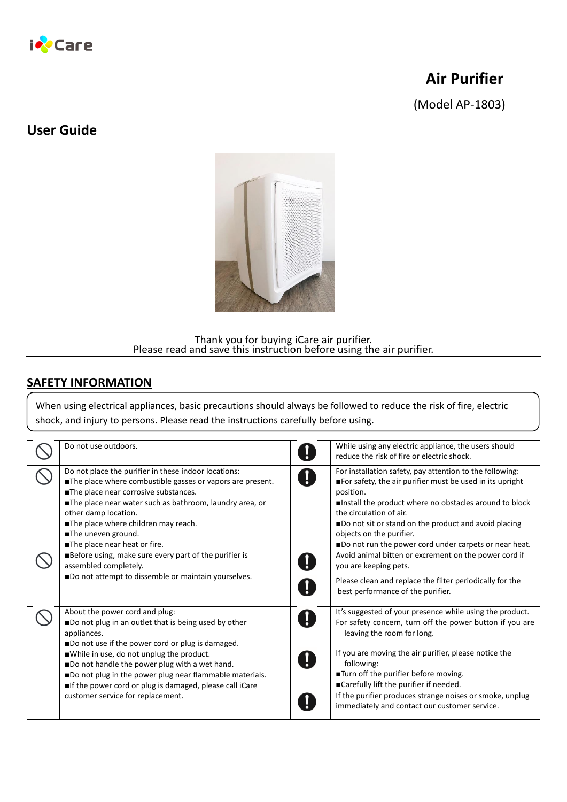

# **Air Purifier**

(Model AP-1803)

# **User Guide**



#### Thank you for buying iCare air purifier. Please read and save this instruction before using the air purifier.

### **SAFETY INFORMATION**

When using electrical appliances, basic precautions should always be followed to reduce the risk of fire, electric shock, and injury to persons. Please read the instructions carefully before using.

|  | Do not use outdoors.                                                                                                                                                                                                                                                                                                                                                                                               | While using any electric appliance, the users should<br>reduce the risk of fire or electric shock.                                                                                                                                                                                                                                                                   |
|--|--------------------------------------------------------------------------------------------------------------------------------------------------------------------------------------------------------------------------------------------------------------------------------------------------------------------------------------------------------------------------------------------------------------------|----------------------------------------------------------------------------------------------------------------------------------------------------------------------------------------------------------------------------------------------------------------------------------------------------------------------------------------------------------------------|
|  | Do not place the purifier in these indoor locations:<br>The place where combustible gasses or vapors are present.<br>The place near corrosive substances.<br>The place near water such as bathroom, laundry area, or<br>other damp location.<br>The place where children may reach.<br>The uneven ground.<br>The place near heat or fire.                                                                          | For installation safety, pay attention to the following:<br>For safety, the air purifier must be used in its upright<br>position.<br>linstall the product where no obstacles around to block<br>the circulation of air.<br>Do not sit or stand on the product and avoid placing<br>objects on the purifier.<br>Do not run the power cord under carpets or near heat. |
|  | Before using, make sure every part of the purifier is<br>assembled completely.<br>Do not attempt to dissemble or maintain yourselves.                                                                                                                                                                                                                                                                              | Avoid animal bitten or excrement on the power cord if<br>you are keeping pets.                                                                                                                                                                                                                                                                                       |
|  |                                                                                                                                                                                                                                                                                                                                                                                                                    | Please clean and replace the filter periodically for the<br>best performance of the purifier.                                                                                                                                                                                                                                                                        |
|  | About the power cord and plug:<br>Do not plug in an outlet that is being used by other<br>appliances.<br>■Do not use if the power cord or plug is damaged.<br>While in use, do not unplug the product.<br>Do not handle the power plug with a wet hand.<br>Do not plug in the power plug near flammable materials.<br>lf the power cord or plug is damaged, please call iCare<br>customer service for replacement. | It's suggested of your presence while using the product.<br>For safety concern, turn off the power button if you are<br>leaving the room for long.                                                                                                                                                                                                                   |
|  |                                                                                                                                                                                                                                                                                                                                                                                                                    | If you are moving the air purifier, please notice the<br>following:<br>■Turn off the purifier before moving.<br>■Carefully lift the purifier if needed.                                                                                                                                                                                                              |
|  |                                                                                                                                                                                                                                                                                                                                                                                                                    | If the purifier produces strange noises or smoke, unplug<br>immediately and contact our customer service.                                                                                                                                                                                                                                                            |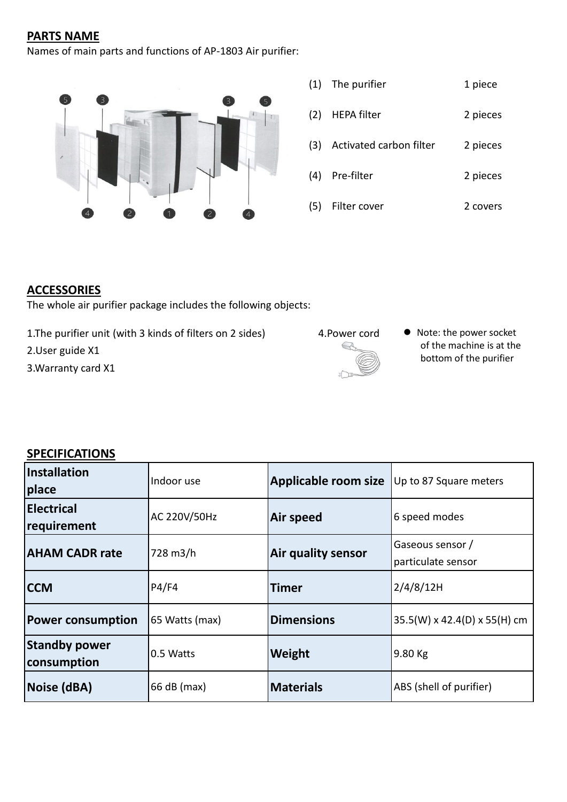# **PARTS NAME**

Names of main parts and functions of AP-1803 Air purifier:



| (1)<br>The purifier | 1 piece |
|---------------------|---------|
|---------------------|---------|

- (2) HEPA filter 2 pieces
- (3) Activated carbon filter 2 pieces
- (4) Pre-filter 2 pieces
- (5) Filter cover 2 covers

# **ACCESSORIES**

The whole air purifier package includes the following objects:

1.The purifier unit (with 3 kinds of filters on 2 sides) 4.Power cord ● Note: the power socket

2.User guide X1

3.Warranty card X1





of the machine is at the bottom of the purifier

# **SPECIFICATIONS**

| Installation<br>place               | Indoor use     | <b>Applicable room size</b> $\bigcup$ $\bigcup$ p to 87 Square meters |                                          |
|-------------------------------------|----------------|-----------------------------------------------------------------------|------------------------------------------|
| <b>Electrical</b><br>requirement    | AC 220V/50Hz   | <b>Air speed</b>                                                      | 6 speed modes                            |
| <b>AHAM CADR rate</b>               | 728 m3/h       | <b>Air quality sensor</b>                                             | Gaseous sensor /<br>particulate sensor   |
| <b>CCM</b>                          | P4/F4          | Timer                                                                 | 2/4/8/12H                                |
| <b>Power consumption</b>            | 65 Watts (max) | <b>Dimensions</b>                                                     | $35.5(W) \times 42.4(D) \times 55(H)$ cm |
| <b>Standby power</b><br>consumption | 0.5 Watts      | Weight                                                                | 9.80 Kg                                  |
| Noise (dBA)                         | 66 dB (max)    | <b>Materials</b>                                                      | ABS (shell of purifier)                  |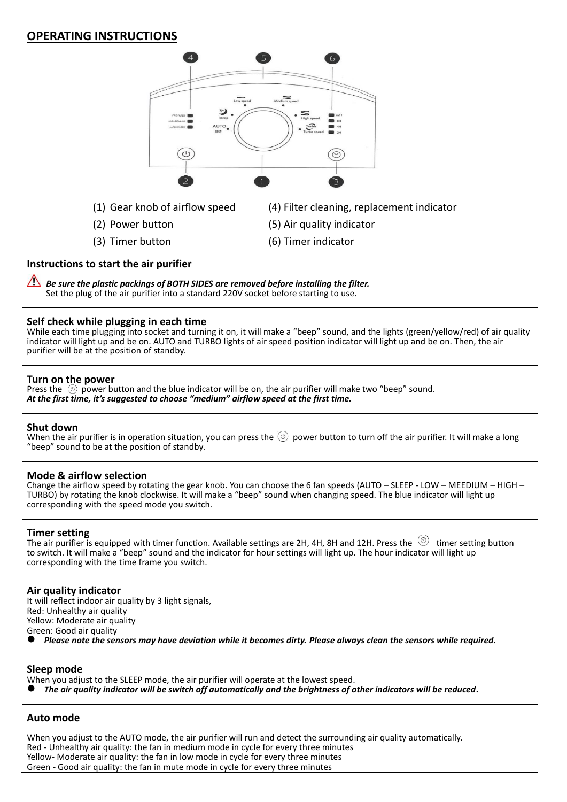### **OPERATING INSTRUCTIONS**



### **Instructions to start the air purifier**

 *Be sure the plastic packings of BOTH SIDES are removed before installing the filter.*  Set the plug of the air purifier into a standard 220V socket before starting to use.

#### **Self check while plugging in each time**

While each time plugging into socket and turning it on, it will make a "beep" sound, and the lights (green/yellow/red) of air quality indicator will light up and be on. AUTO and TURBO lights of air speed position indicator will light up and be on. Then, the air purifier will be at the position of standby.

#### **Turn on the power**

Press the  $\circledcirc$  power button and the blue indicator will be on, the air purifier will make two "beep" sound. *At the first time, it's suggested to choose "medium" airflow speed at the first time.*

#### **Shut down**

When the air purifier is in operation situation, you can press the  $\circledcirc$  power button to turn off the air purifier. It will make a long "beep" sound to be at the position of standby.

#### **Mode & airflow selection**

Change the airflow speed by rotating the gear knob. You can choose the 6 fan speeds (AUTO – SLEEP - LOW – MEEDIUM – HIGH – TURBO) by rotating the knob clockwise. It will make a "beep" sound when changing speed. The blue indicator will light up corresponding with the speed mode you switch.

#### **Timer setting**

The air purifier is equipped with timer function. Available settings are 2H, 4H, 8H and 12H. Press the  $\circledcirc$  timer setting button to switch. It will make a "beep" sound and the indicator for hour settings will light up. The hour indicator will light up corresponding with the time frame you switch.

#### **Air quality indicator**

It will reflect indoor air quality by 3 light signals, Red: Unhealthy air quality Yellow: Moderate air quality Green: Good air quality ⚫ *Please note the sensors may have deviation while it becomes dirty. Please always clean the sensors while required.*

#### **Sleep mode**

When you adjust to the SLEEP mode, the air purifier will operate at the lowest speed.

⚫ *The air quality indicator will be switch off automatically and the brightness of other indicators will be reduced.*

#### **Auto mode**

When you adjust to the AUTO mode, the air purifier will run and detect the surrounding air quality automatically. Red - Unhealthy air quality: the fan in medium mode in cycle for every three minutes Yellow- Moderate air quality: the fan in low mode in cycle for every three minutes Green - Good air quality: the fan in mute mode in cycle for every three minutes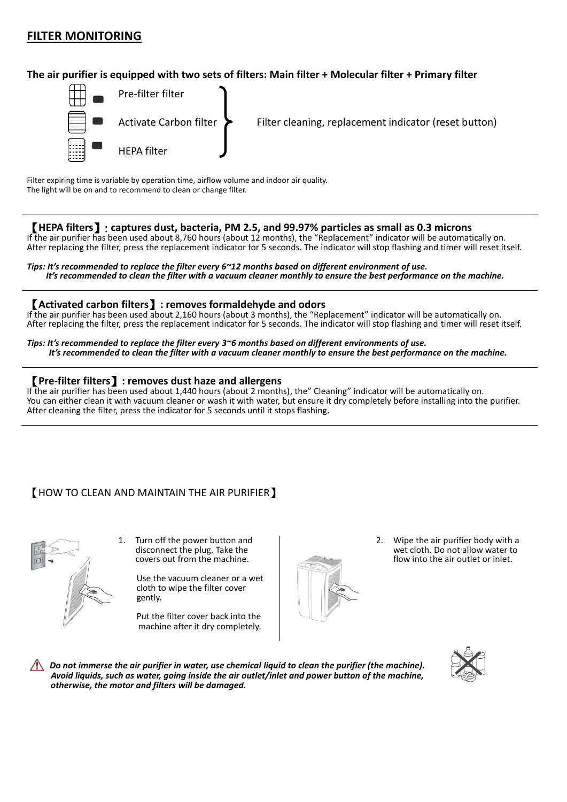### **FILTER MONITORING**

**The air purifier is equipped with two sets of filters: Main filter + Molecular filter + Primary filter**



Filter expiring time is variable by operation time, airflow volume and indoor air quality. The light will be on and to recommend to clean or change filter.

#### 【**HEPA filters**】: **captures dust, bacteria, PM 2.5, and 99.97% particles as small as 0.3 microns**

If the air purifier has been used about 8,760 hours (about 12 months), the "Replacement" indicator will be automatically on. After replacing the filter, press the replacement indicator for 5 seconds. The indicator will stop flashing and timer will reset itself.

#### *Tips: It's recommended to replace the filter every 6~12 months based on different environment of use. It's recommended to clean the filter with a vacuum cleaner monthly to ensure the best performance on the machine.*

### 【**Activated carbon filters**】**: removes formaldehyde and odors**

If the air purifier has been used about 2,160 hours (about 3 months), the "Replacement" indicator will be automatically on. After replacing the filter, press the replacement indicator for 5 seconds. The indicator will stop flashing and timer will reset itself.

*Tips: It's recommended to replace the filter every 3~6 months based on different environments of use. It's recommended to clean the filter with a vacuum cleaner monthly to ensure the best performance on the machine.* 

### 【**Pre-filter filters**】**: removes dust haze and allergens**

If the air purifier has been used about 1,440 hours (about 2 months), the" Cleaning" indicator will be automatically on. You can either clean it with vacuum cleaner or wash it with water, but ensure it dry completely before installing into the purifier. After cleaning the filter, press the indicator for 5 seconds until it stops flashing.

### 【HOW TO CLEAN AND MAINTAIN THE AIR PURIFIER】

Į

1. Turn off the power button and disconnect the plug. Take the covers out from the machine.

> Use the vacuum cleaner or a wet cloth to wipe the filter cover gently.

 Put the filter cover back into the machine after it dry completely.



2. Wipe the air purifier body with a wet cloth. Do not allow water to flow into the air outlet or inlet.

 *Do not immerse the air purifier in water, use chemical liquid to clean the purifier (the machine). Avoid liquids, such as water, going inside the air outlet/inlet and power button of the machine, otherwise, the motor and filters will be damaged.*